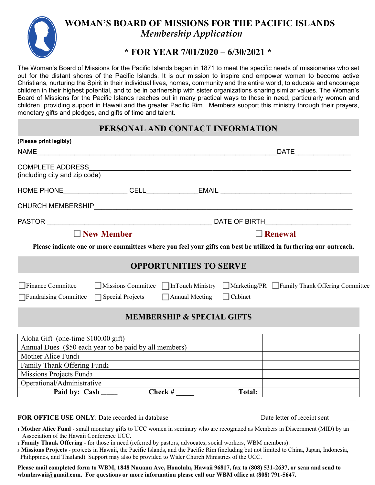

## **WOMAN'S BOARD OF MISSIONS FOR THE PACIFIC ISLANDS**  *Membership Application*

#### **\* FOR YEAR 7/01/2020 – 6/30/2021 \***

The Woman's Board of Missions for the Pacific Islands began in 1871 to meet the specific needs of missionaries who set out for the distant shores of the Pacific Islands. It is our mission to inspire and empower women to become active Christians, nurturing the Spirit in their individual lives, homes, community and the entire world, to educate and encourage children in their highest potential, and to be in partnership with sister organizations sharing similar values. The Woman's Board of Missions for the Pacific Islands reaches out in many practical ways to those in need, particularly women and children, providing support in Hawaii and the greater Pacific Rim. Members support this ministry through their prayers, monetary gifts and pledges, and gifts of time and talent.

#### **PERSONAL AND CONTACT INFORMATION**

| (Please print legibly)                                 |  |                                                                                      |                |                                                                                                                   |
|--------------------------------------------------------|--|--------------------------------------------------------------------------------------|----------------|-------------------------------------------------------------------------------------------------------------------|
| NAME                                                   |  |                                                                                      |                | _DATE_____________________                                                                                        |
| <b>COMPLETE ADDRESS</b>                                |  | <u> 1989 - Johann Stoff, die staatskriuw fan de Amerikaansk kommunister († 1958)</u> |                |                                                                                                                   |
| (including city and zip code)                          |  |                                                                                      |                |                                                                                                                   |
|                                                        |  |                                                                                      |                |                                                                                                                   |
|                                                        |  |                                                                                      |                |                                                                                                                   |
|                                                        |  |                                                                                      |                |                                                                                                                   |
| $\Box$ New Member                                      |  |                                                                                      | $\Box$ Renewal |                                                                                                                   |
|                                                        |  |                                                                                      |                | Please indicate one or more committees where you feel your gifts can best be utilized in furthering our outreach. |
|                                                        |  | <b>OPPORTUNITIES TO SERVE</b>                                                        |                |                                                                                                                   |
| Finance Committee                                      |  |                                                                                      |                | $\Box$ Missions Committee $\Box$ In Touch Ministry $\Box$ Marketing/PR $\Box$ Family Thank Offering Committee     |
| $\Box$ Fundraising Committee $\Box$ Special Projects   |  | $\Box$ Annual Meeting                                                                | $\Box$ Cabinet |                                                                                                                   |
|                                                        |  | <b>MEMBERSHIP &amp; SPECIAL GIFTS</b>                                                |                |                                                                                                                   |
| Aloha Gift (one-time \$100.00 gift)                    |  |                                                                                      |                |                                                                                                                   |
| Annual Dues (\$50 each year to be paid by all members) |  |                                                                                      |                | <u> 1989 - Andrea Andrew Maria (h. 1989).</u>                                                                     |
| Mother Alice Fund1                                     |  |                                                                                      |                |                                                                                                                   |
| Family Thank Offering Fund2                            |  |                                                                                      |                |                                                                                                                   |
| Missions Projects Funds                                |  |                                                                                      |                |                                                                                                                   |
|                                                        |  |                                                                                      |                |                                                                                                                   |
| Operational/Administrative<br>Paid by: Cash _____      |  |                                                                                      | <b>Total:</b>  |                                                                                                                   |

**FOR OFFICE USE ONLY**: Date recorded in database Date letter of receipt sent

**<sup>1</sup> Mother Alice Fund** - small monetary gifts to UCC women in seminary who are recognized as Members in Discernment (MID) by an Association of the Hawaii Conference UCC.

**<sup>2</sup> Family Thank Offering** - for those in need (referred by pastors, advocates, social workers, WBM members).

**<sup>3</sup> Missions Projects** - projects in Hawaii, the Pacific Islands, and the Pacific Rim (including but not limited to China, Japan, Indonesia, Philippines, and Thailand). Support may also be provided to Wider Church Ministries of the UCC.

**Please mail completed form to WBM, 1848 Nuuanu Ave, Honolulu, Hawaii 96817, fax to (808) 531-2637, or scan and send to wbmhawaii@gmail.com. For questions or more information please call our WBM office at (808) 791-5647.**